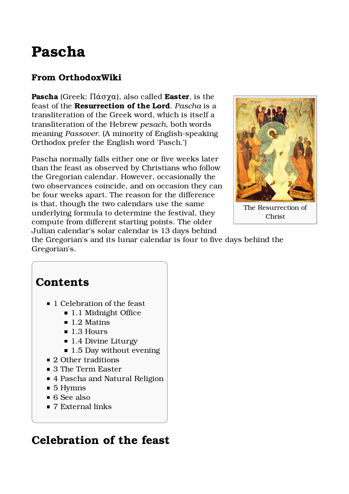# Pascha

#### From OrthodoxWiki

Pascha (Greek: Πάσχα), also called **Easter**, is the feast of the Resurrection of the Lord. Pascha is a transliteration of the Greek word, which is itself a transliteration of the Hebrew pesach, both words meaning Passover. (A minority of English-speaking Orthodox prefer the English word 'Pasch.')

Pascha normally falls either one or five weeks later than the feast as observed by Christians who follow the Gregorian calendar. However, occasionally the two observances coincide, and on occasion they can be four weeks apart. The reason for the difference is that, though the two calendars use the same underlying formula to determine the festival, they compute from different starting points. The older Julian calendar's solar calendar is 13 days behind



The Resurrection of Christ

the Gregorian's and its lunar calendar is four to five days behind the Gregorian's.

### **Contents**

- 1 Celebration of the feast
	- 1.1 Midnight Office
	- $\blacksquare$  1.2 Matins
	- 1.3 Hours
	- 1.4 Divine Liturgy
	- 1.5 Day without evening
- 2 Other traditions
- 3 The Term Easter
- 4 Pascha and Natural Religion
- 5 Hymns
- 6 See also
- 7 External links

### Celebration of the feast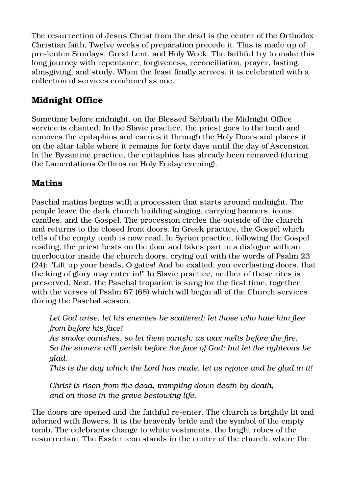The resurrection of Jesus Christ from the dead is the center of the Orthodox Christian faith. Twelve weeks of preparation precede it. This is made up of pre-lenten Sundays, Great Lent, and Holy Week. The faithful try to make this long journey with repentance, forgiveness, reconciliation, prayer, fasting, almsgiving, and study. When the feast finally arrives, it is celebrated with a collection of services combined as one.

#### Midnight Office

Sometime before midnight, on the Blessed Sabbath the Midnight Office service is chanted. In the Slavic practice, the priest goes to the tomb and removes the epitaphios and carries it through the Holy Doors and places it on the altar table where it remains for forty days until the day of Ascension. In the Byzantine practice, the epitaphios has already been removed (during the Lamentations Orthros on Holy Friday evening).

#### Matins

Paschal matins begins with a procession that starts around midnight. The people leave the dark church building singing, carrying banners, icons, candles, and the Gospel. The procession circles the outside of the church and returns to the closed front doors. In Greek practice, the Gospel which tells of the empty tomb is now read. In Syrian practice, following the Gospel reading, the priest beats on the door and takes part in a dialogue with an interlocutor inside the church doors, crying out with the words of Psalm 23 (24): "Lift up your heads, O gates! And be exalted, you everlasting doors, that the king of glory may enter in!" In Slavic practice, neither of these rites is preserved. Next, the Paschal troparion is sung for the first time, together with the verses of Psalm 67 (68) which will begin all of the Church services during the Paschal season.

Let God arise, let his enemies be scattered; let those who hate him flee from before his face!

As smoke vanishes, so let them vanish; as wax melts before the fire, So the sinners will perish before the face of God; but let the righteous be glad.

This is the day which the Lord has made, let us rejoice and be glad in it!

Christ is risen from the dead, trampling down death by death, and on those in the grave bestowing life.

The doors are opened and the faithful re-enter. The church is brightly lit and adorned with flowers. It is the heavenly bride and the symbol of the empty tomb. The celebrants change to white vestments, the bright robes of the resurrection. The Easter icon stands in the center of the church, where the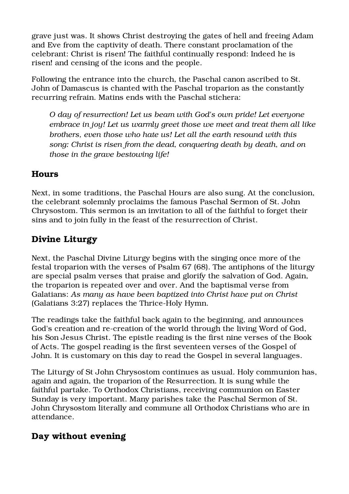grave just was. It shows Christ destroying the gates of hell and freeing Adam and Eve from the captivity of death. There constant proclamation of the celebrant: Christ is risen! The faithful continually respond: Indeed he is risen! and censing of the icons and the people.

Following the entrance into the church, the Paschal canon ascribed to St. John of Damascus is chanted with the Paschal troparion as the constantly recurring refrain. Matins ends with the Paschal stichera:

O day of resurrection! Let us beam with God's own pride! Let everyone embrace in joy! Let us warmly greet those we meet and treat them all like brothers, even those who hate us! Let all the earth resound with this song: Christ is risen from the dead, conquering death by death, and on those in the grave bestowing life!

#### Hours

Next, in some traditions, the Paschal Hours are also sung. At the conclusion, the celebrant solemnly proclaims the famous Paschal Sermon of St. John Chrysostom. This sermon is an invitation to all of the faithful to forget their sins and to join fully in the feast of the resurrection of Christ.

#### Divine Liturgy

Next, the Paschal Divine Liturgy begins with the singing once more of the festal troparion with the verses of Psalm 67 (68). The antiphons of the liturgy are special psalm verses that praise and glorify the salvation of God. Again, the troparion is repeated over and over. And the baptismal verse from Galatians: As many as have been baptized into Christ have put on Christ (Galatians 3:27) replaces the Thrice-Holy Hymn.

The readings take the faithful back again to the beginning, and announces God's creation and re-creation of the world through the living Word of God, his Son Jesus Christ. The epistle reading is the first nine verses of the Book of Acts. The gospel reading is the first seventeen verses of the Gospel of John. It is customary on this day to read the Gospel in several languages.

The Liturgy of St John Chrysostom continues as usual. Holy communion has, again and again, the troparion of the Resurrection. It is sung while the faithful partake. To Orthodox Christians, receiving communion on Easter Sunday is very important. Many parishes take the Paschal Sermon of St. John Chrysostom literally and commune all Orthodox Christians who are in attendance.

#### Day without evening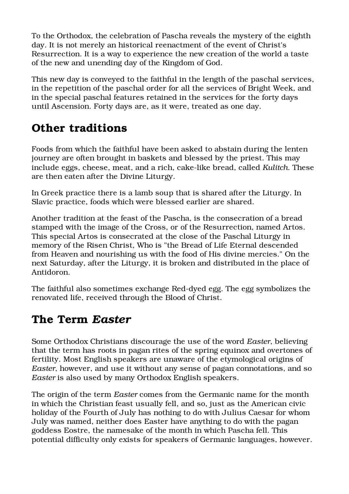To the Orthodox, the celebration of Pascha reveals the mystery of the eighth day. It is not merely an historical reenactment of the event of Christ's Resurrection. It is a way to experience the new creation of the world a taste of the new and unending day of the Kingdom of God.

This new day is conveyed to the faithful in the length of the paschal services, in the repetition of the paschal order for all the services of Bright Week, and in the special paschal features retained in the services for the forty days until Ascension. Forty days are, as it were, treated as one day.

## Other traditions

Foods from which the faithful have been asked to abstain during the lenten journey are often brought in baskets and blessed by the priest. This may include eggs, cheese, meat, and a rich, cake-like bread, called Kulitch. These are then eaten after the Divine Liturgy.

In Greek practice there is a lamb soup that is shared after the Liturgy. In Slavic practice, foods which were blessed earlier are shared.

Another tradition at the feast of the Pascha, is the consecration of a bread stamped with the image of the Cross, or of the Resurrection, named Artos. This special Artos is consecrated at the close of the Paschal Liturgy in memory of the Risen Christ, Who is "the Bread of Life Eternal descended from Heaven and nourishing us with the food of His divine mercies." On the next Saturday, after the Liturgy, it is broken and distributed in the place of Antidoron.

The faithful also sometimes exchange Red-dyed egg. The egg symbolizes the renovated life, received through the Blood of Christ.

### The Term Easter

Some Orthodox Christians discourage the use of the word Easter, believing that the term has roots in pagan rites of the spring equinox and overtones of fertility. Most English speakers are unaware of the etymological origins of Easter, however, and use it without any sense of pagan connotations, and so Easter is also used by many Orthodox English speakers.

The origin of the term Easter comes from the Germanic name for the month in which the Christian feast usually fell, and so, just as the American civic holiday of the Fourth of July has nothing to do with Julius Caesar for whom July was named, neither does Easter have anything to do with the pagan goddess Eostre, the namesake of the month in which Pascha fell. This potential difficulty only exists for speakers of Germanic languages, however.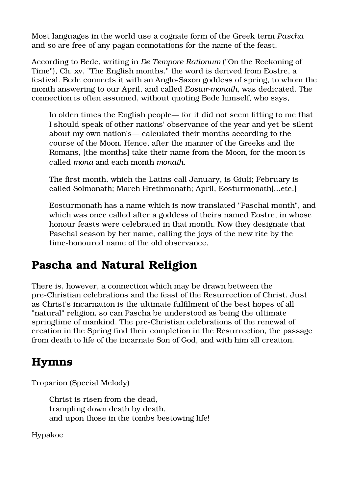Most languages in the world use a cognate form of the Greek term Pascha and so are free of any pagan connotations for the name of the feast.

According to Bede, writing in De Tempore Rationum ("On the Reckoning of Time"), Ch. xv, "The English months," the word is derived from Eostre, a festival. Bede connects it with an Anglo-Saxon goddess of spring, to whom the month answering to our April, and called Eostur-monath, was dedicated. The connection is often assumed, without quoting Bede himself, who says,

In olden times the English people— for it did not seem fitting to me that I should speak of other nations' observance of the year and yet be silent about my own nation's— calculated their months according to the course of the Moon. Hence, after the manner of the Greeks and the Romans, [the months] take their name from the Moon, for the moon is called mona and each month monath.

The first month, which the Latins call January, is Giuli; February is called Solmonath; March Hrethmonath; April, Eosturmonath[...etc.]

Eosturmonath has a name which is now translated "Paschal month", and which was once called after a goddess of theirs named Eostre, in whose honour feasts were celebrated in that month. Now they designate that Paschal season by her name, calling the joys of the new rite by the time-honoured name of the old observance.

# Pascha and Natural Religion

There is, however, a connection which may be drawn between the pre-Christian celebrations and the feast of the Resurrection of Christ. Just as Christ's incarnation is the ultimate fulfilment of the best hopes of all "natural" religion, so can Pascha be understood as being the ultimate springtime of mankind. The pre-Christian celebrations of the renewal of creation in the Spring find their completion in the Resurrection, the passage from death to life of the incarnate Son of God, and with him all creation.

# Hymns

Troparion (Special Melody)

Christ is risen from the dead, trampling down death by death, and upon those in the tombs bestowing life!

Hypakoe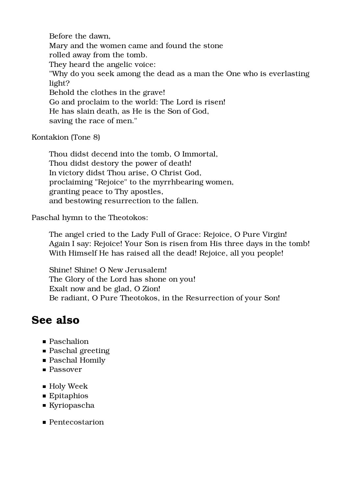Before the dawn, Mary and the women came and found the stone rolled away from the tomb. They heard the angelic voice: "Why do you seek among the dead as a man the One who is everlasting light? Behold the clothes in the grave! Go and proclaim to the world: The Lord is risen! He has slain death, as He is the Son of God, saving the race of men."

Kontakion (Tone 8)

Thou didst decend into the tomb, O Immortal, Thou didst destory the power of death! In victory didst Thou arise, O Christ God, proclaiming "Rejoice" to the myrrhbearing women, granting peace to Thy apostles, and bestowing resurrection to the fallen.

Paschal hymn to the Theotokos:

The angel cried to the Lady Full of Grace: Rejoice, O Pure Virgin! Again I say: Rejoice! Your Son is risen from His three days in the tomb! With Himself He has raised all the dead! Rejoice, all you people!

Shine! Shine! O New Jerusalem! The Glory of the Lord has shone on you! Exalt now and be glad, O Zion! Be radiant, O Pure Theotokos, in the Resurrection of your Son!

### See also

- Paschalion
- **Paschal greeting**
- Paschal Homily
- **Passover**
- Holy Week
- Epitaphios
- Kyriopascha
- Pentecostarion